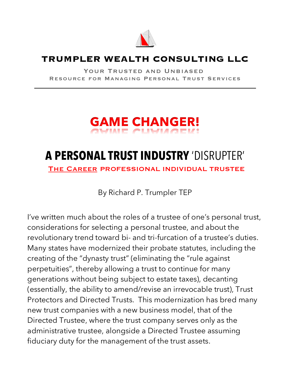

#### **TRUMPLER WEALTH CONSULTING LLC**

YOUR TRUSTED AND UNBIASED Resource for Managing Personal Trust Services

 $\mathcal{L}_\text{max}$  and  $\mathcal{L}_\text{max}$  and  $\mathcal{L}_\text{max}$  and  $\mathcal{L}_\text{max}$  and  $\mathcal{L}_\text{max}$ 

# **GAME CHANGER!**

## **A PERSONAL TRUST INDUSTRY** 'DISRUPTER'

The Career PROFESSIONAL INDIVIDUAL TRUSTEE

By Richard P. Trumpler TEP

I've written much about the roles of a trustee of one's personal trust, considerations for selecting a personal trustee, and about the revolutionary trend toward bi- and tri-furcation of a trustee's duties. Many states have modernized their probate statutes, including the creating of the "dynasty trust" (eliminating the "rule against perpetuities", thereby allowing a trust to continue for many generations without being subject to estate taxes), decanting (essentially, the ability to amend/revise an irrevocable trust), Trust Protectors and Directed Trusts. This modernization has bred many new trust companies with a new business model, that of the Directed Trustee, where the trust company serves only as the administrative trustee, alongside a Directed Trustee assuming fiduciary duty for the management of the trust assets.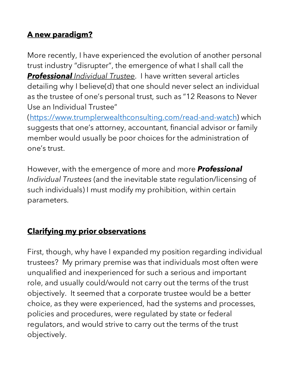### **A new paradigm?**

More recently, I have experienced the evolution of another personal trust industry "disrupter", the emergence of what I shall call the *Professional Individual Trustee*. I have written several articles detailing why I believe(d) that one should never select an individual as the trustee of one's personal trust, such as "12 Reasons to Never Use an Individual Trustee"

(https://www.trumplerwealthconsulting.com/read-and-watch) which suggests that one's attorney, accountant, financial advisor or family member would usually be poor choices for the administration of one's trust.

However, with the emergence of more and more *Professional Individual Trustees* (and the inevitable state regulation/licensing of such individuals) I must modify my prohibition, within certain parameters.

#### **Clarifying my prior observations**

First, though, why have I expanded my position regarding individual trustees? My primary premise was that individuals most often were unqualified and inexperienced for such a serious and important role, and usually could/would not carry out the terms of the trust objectively. It seemed that a corporate trustee would be a better choice, as they were experienced, had the systems and processes, policies and procedures, were regulated by state or federal regulators, and would strive to carry out the terms of the trust objectively.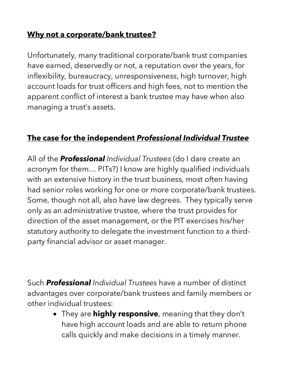#### **Why not a corporate/bank trustee?**

Unfortunately, many traditional corporate/bank trust companies have earned, deservedly or not, a reputation over the years, for inflexibility, bureaucracy, unresponsiveness, high turnover, high account loads for trust officers and high fees, not to mention the apparent conflict of interest a bank trustee may have when also managing a trust's assets.

#### **The case for the independent** *Professional Individual Trustee*

All of the *Professional Individual Trustees* (do I dare create an acronym for them… PITs?) I know are highly qualified individuals with an extensive history in the trust business, most often having had senior roles working for one or more corporate/bank trustees. Some, though not all, also have law degrees. They typically serve only as an administrative trustee, where the trust provides for direction of the asset management, or the PIT exercises his/her statutory authority to delegate the investment function to a thirdparty financial advisor or asset manager.

Such *Professional Individual Trustees* have a number of distinct advantages over corporate/bank trustees and family members or other individual trustees:

> • They are **highly responsive**, meaning that they don't have high account loads and are able to return phone calls quickly and make decisions in a timely manner.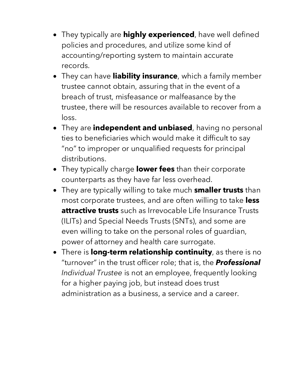- They typically are **highly experienced**, have well defined policies and procedures, and utilize some kind of accounting/reporting system to maintain accurate records.
- They can have **liability insurance**, which a family member trustee cannot obtain, assuring that in the event of a breach of trust, misfeasance or malfeasance by the trustee, there will be resources available to recover from a loss.
- They are **independent and unbiased**, having no personal ties to beneficiaries which would make it difficult to say "no" to improper or unqualified requests for principal distributions.
- They typically charge **lower fees** than their corporate counterparts as they have far less overhead.
- They are typically willing to take much **smaller trusts** than most corporate trustees, and are often willing to take **less attractive trusts** such as Irrevocable Life Insurance Trusts (ILITs) and Special Needs Trusts (SNTs), and some are even willing to take on the personal roles of guardian, power of attorney and health care surrogate.
- There is **long-term relationship continuity**, as there is no "turnover" in the trust officer role; that is, the *Professional Individual Trustee* is not an employee, frequently looking for a higher paying job, but instead does trust administration as a business, a service and a career.